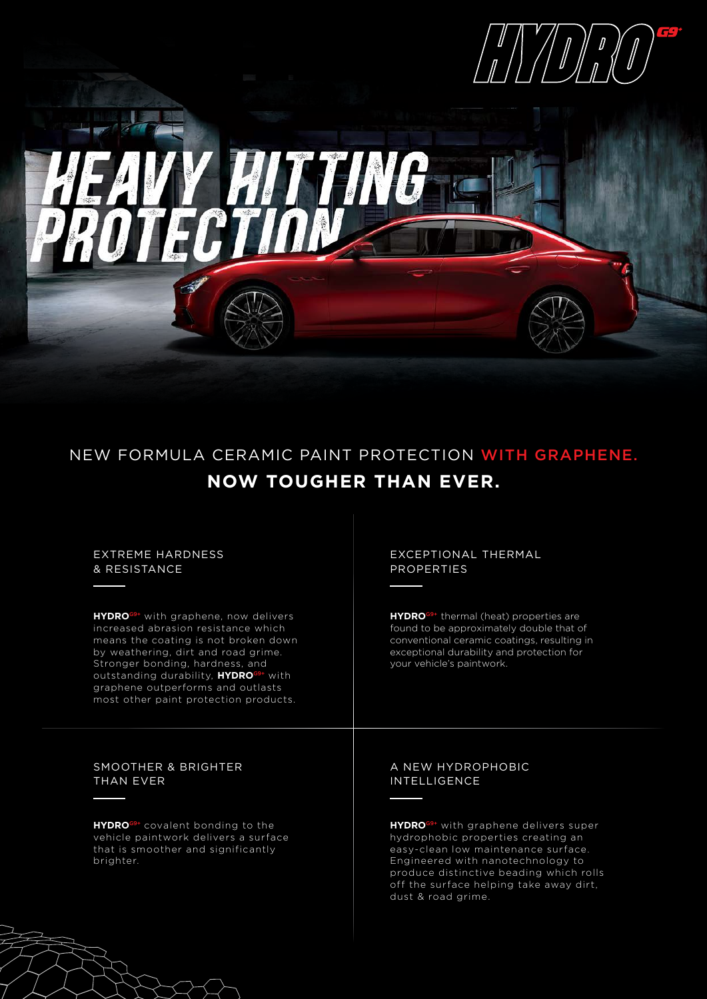



NEW FORMULA CERAMIC PAINT PROTECTION WITH GRAPHENE. **NOW TOUGHER THAN EVER.**

## EXTREME HARDNESS & RESISTANCE

**HYDRO**G9+ with graphene, now delivers increased abrasion resistance which means the coating is not broken down by weathering, dirt and road grime. Stronger bonding, hardness, and outstanding durability, **HYDRO**G9+ with graphene outperforms and outlasts most other paint protection products.

## EXCEPTIONAL THERMAL PROPERTIES

**HYDRO**G9+ thermal (heat) properties are found to be approximately double that of conventional ceramic coatings, resulting in exceptional durability and protection for your vehicle's paintwork.

## SMOOTHER & BRIGHTER THAN EVER

**HYDRO**G9+ covalent bonding to the vehicle paintwork delivers a surface that is smoother and significantly brighter.

## A NEW HYDROPHOBIC INTELLIGENCE

**HYDRO**G9+ with graphene delivers super hydrophobic properties creating an easy-clean low maintenance surface. Engineered with nanotechnology to produce distinctive beading which rolls off the surface helping take away dirt, dust & road grime.